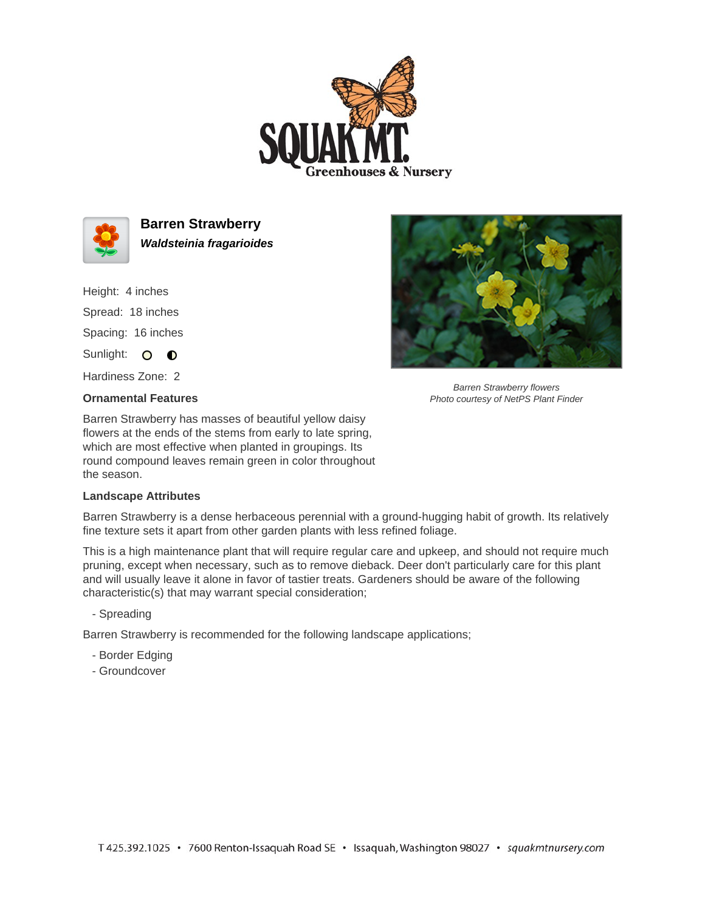



**Barren Strawberry Waldsteinia fragarioides**

Height: 4 inches Spread: 18 inches Spacing: 16 inches

Sunlight: O **O** 

Hardiness Zone: 2

## **Ornamental Features**

Barren Strawberry has masses of beautiful yellow daisy flowers at the ends of the stems from early to late spring, which are most effective when planted in groupings. Its round compound leaves remain green in color throughout the season.

## **Landscape Attributes**

Barren Strawberry is a dense herbaceous perennial with a ground-hugging habit of growth. Its relatively fine texture sets it apart from other garden plants with less refined foliage.

This is a high maintenance plant that will require regular care and upkeep, and should not require much pruning, except when necessary, such as to remove dieback. Deer don't particularly care for this plant and will usually leave it alone in favor of tastier treats. Gardeners should be aware of the following characteristic(s) that may warrant special consideration;

- Spreading

Barren Strawberry is recommended for the following landscape applications;

- Border Edging
- Groundcover



Barren Strawberry flowers Photo courtesy of NetPS Plant Finder